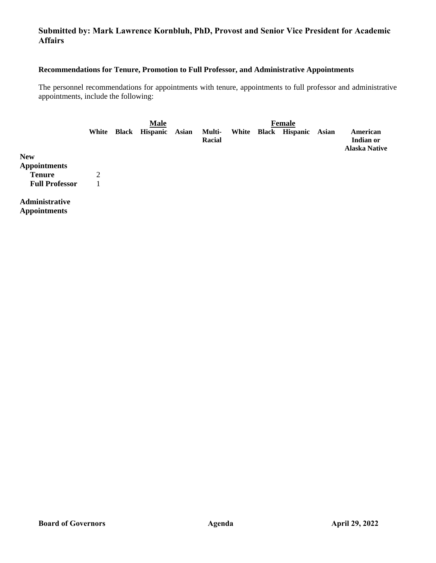# **Submitted by: Mark Lawrence Kornbluh, PhD, Provost and Senior Vice President for Academic Affairs**

# **Recommendations for Tenure, Promotion to Full Professor, and Administrative Appointments**

The personnel recommendations for appointments with tenure, appointments to full professor and administrative appointments, include the following:

|                                       |       | <b>Male</b>           |       |                  | <b>Female</b> |                      |       |                                               |
|---------------------------------------|-------|-----------------------|-------|------------------|---------------|----------------------|-------|-----------------------------------------------|
|                                       | White | <b>Black Hispanic</b> | Asian | Multi-<br>Racial |               | White Black Hispanic | Asian | American<br>Indian or<br><b>Alaska Native</b> |
| <b>New</b>                            |       |                       |       |                  |               |                      |       |                                               |
| <b>Appointments</b>                   |       |                       |       |                  |               |                      |       |                                               |
| <b>Tenure</b>                         | 2     |                       |       |                  |               |                      |       |                                               |
| <b>Full Professor</b>                 |       |                       |       |                  |               |                      |       |                                               |
| Administrative<br><b>Appointments</b> |       |                       |       |                  |               |                      |       |                                               |

**Board of Governors Agenda April 29, 2022**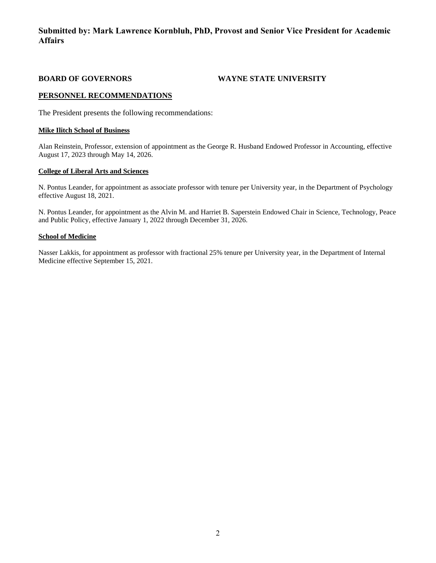# **Submitted by: Mark Lawrence Kornbluh, PhD, Provost and Senior Vice President for Academic Affairs**

**BOARD OF GOVERNORS WAYNE STATE UNIVERSITY**

### **PERSONNEL RECOMMENDATIONS**

The President presents the following recommendations:

#### **Mike Ilitch School of Business**

Alan Reinstein, Professor, extension of appointment as the George R. Husband Endowed Professor in Accounting, effective August 17, 2023 through May 14, 2026.

#### **College of Liberal Arts and Sciences**

N. Pontus Leander, for appointment as associate professor with tenure per University year, in the Department of Psychology effective August 18, 2021.

N. Pontus Leander, for appointment as the Alvin M. and Harriet B. Saperstein Endowed Chair in Science, Technology, Peace and Public Policy, effective January 1, 2022 through December 31, 2026.

#### **School of Medicine**

Nasser Lakkis, for appointment as professor with fractional 25% tenure per University year, in the Department of Internal Medicine effective September 15, 2021.